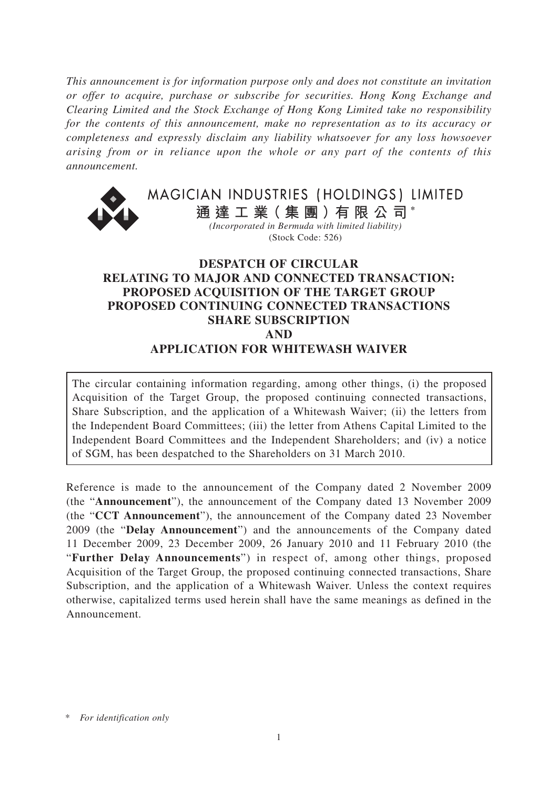*This announcement is for information purpose only and does not constitute an invitation or offer to acquire, purchase or subscribe for securities. Hong Kong Exchange and Clearing Limited and the Stock Exchange of Hong Kong Limited take no responsibility for the contents of this announcement, make no representation as to its accuracy or completeness and expressly disclaim any liability whatsoever for any loss howsoever arising from or in reliance upon the whole or any part of the contents of this announcement.*



MAGICIAN INDUSTRIES (HOLDINGS) LIMITED

**通 達 工 業( 集 團 )有 限 公 司 \*** *(Incorporated in Bermuda with limited liability)*

(Stock Code: 526)

## **DESPATCH OF CIRCULAR RELATING TO MAJOR AND CONNECTED TRANSACTION: PROPOSED ACQUISITION OF THE TARGET GROUP PROPOSED CONTINUING CONNECTED TRANSACTIONS SHARE SUBSCRIPTION AND APPLICATION FOR WHITEWASH WAIVER**

The circular containing information regarding, among other things, (i) the proposed Acquisition of the Target Group, the proposed continuing connected transactions, Share Subscription, and the application of a Whitewash Waiver; (ii) the letters from the Independent Board Committees; (iii) the letter from Athens Capital Limited to the Independent Board Committees and the Independent Shareholders; and (iv) a notice of SGM, has been despatched to the Shareholders on 31 March 2010.

Reference is made to the announcement of the Company dated 2 November 2009 (the "**Announcement**"), the announcement of the Company dated 13 November 2009 (the "**CCT Announcement**"), the announcement of the Company dated 23 November 2009 (the "**Delay Announcement**") and the announcements of the Company dated 11 December 2009, 23 December 2009, 26 January 2010 and 11 February 2010 (the "**Further Delay Announcements**") in respect of, among other things, proposed Acquisition of the Target Group, the proposed continuing connected transactions, Share Subscription, and the application of a Whitewash Waiver. Unless the context requires otherwise, capitalized terms used herein shall have the same meanings as defined in the Announcement.

 $For$  *identification only*